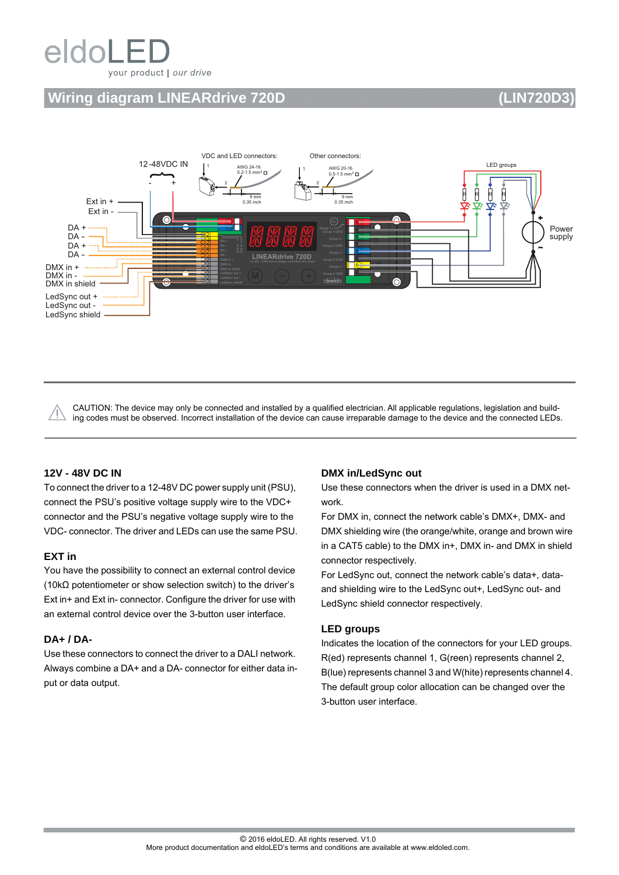# eldoL your product | our drive

# **Wiring diagram LINEARdrive 720D (LIN720D3)**

### VDC and LED connectors: Other connectors: 12 -48VDC IN AWG 24-16 LED groups AWG 20-16 1 1  $0.2 - 1.5$  mm<sup>2</sup>  $0.5-1.5$  mm<sup>2</sup>  $\blacksquare$  $\overline{\phantom{a}}$ - + 2 2 **R** R R R 9 mm  $9<sub>mm</sub>$ Ext in + 0.35 inch  $0.35$  in ឃ ឃ Ext in - ര DA + Power supply DA - DA +  $DA -$ DMX in + DMX in - The DMX in shield ∩ LedSync out + LedSync out - LedSync shield

CAUTION: The device may only be connected and installed by a qualified electrician. All applicable regulations, legislation and building codes must be observed. Incorrect installation of the device can cause irreparable damage to the device and the connected LEDs.

# **12V - 48V DC IN**

To connect the driver to a 12-48V DC power supply unit (PSU), connect the PSU's positive voltage supply wire to the VDC+ connector and the PSU's negative voltage supply wire to the VDC- connector. The driver and LEDs can use the same PSU.

## **EXT in**

You have the possibility to connect an external control device (10kΩ potentiometer or show selection switch) to the driver's Ext in+ and Ext in- connector. Configure the driver for use with an external control device over the 3-button user interface.

## **DA+ / DA-**

Use these connectors to connect the driver to a DALI network. Always combine a DA+ and a DA- connector for either data input or data output.

## **DMX in/LedSync out**

Use these connectors when the driver is used in a DMX network.

For DMX in, connect the network cable's DMX+, DMX- and DMX shielding wire (the orange/white, orange and brown wire in a CAT5 cable) to the DMX in+, DMX in- and DMX in shield connector respectively.

For LedSync out, connect the network cable's data+, dataand shielding wire to the LedSync out+, LedSync out- and LedSync shield connector respectively.

## **LED groups**

Indicates the location of the connectors for your LED groups. R(ed) represents channel 1, G(reen) represents channel 2, B(lue) represents channel 3 and W(hite) represents channel 4. The default group color allocation can be changed over the 3-button user interface.